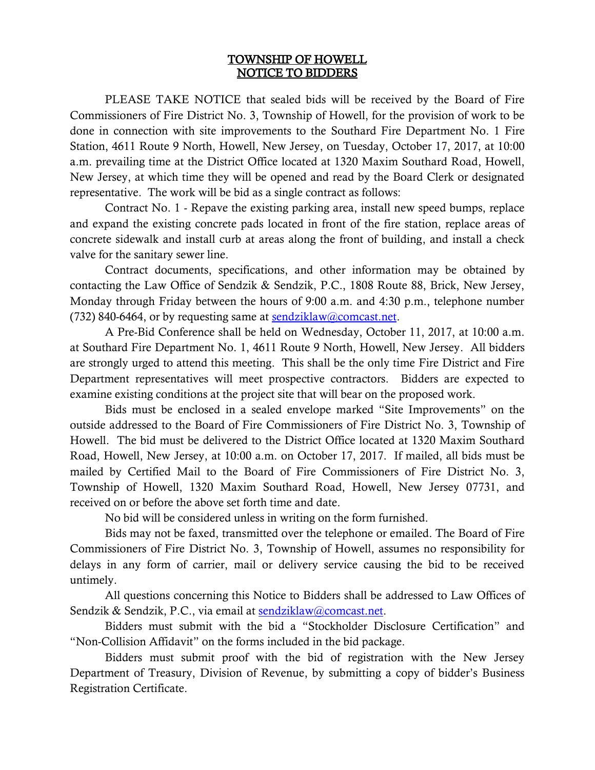## TOWNSHIP OF HOWELL NOTICE TO BIDDERS

 PLEASE TAKE NOTICE that sealed bids will be received by the Board of Fire Commissioners of Fire District No. 3, Township of Howell, for the provision of work to be done in connection with site improvements to the Southard Fire Department No. 1 Fire Station, 4611 Route 9 North, Howell, New Jersey, on Tuesday, October 17, 2017, at 10:00 a.m. prevailing time at the District Office located at 1320 Maxim Southard Road, Howell, New Jersey, at which time they will be opened and read by the Board Clerk or designated representative. The work will be bid as a single contract as follows:

Contract No. 1 - Repave the existing parking area, install new speed bumps, replace and expand the existing concrete pads located in front of the fire station, replace areas of concrete sidewalk and install curb at areas along the front of building, and install a check valve for the sanitary sewer line.

Contract documents, specifications, and other information may be obtained by contacting the Law Office of Sendzik & Sendzik, P.C., 1808 Route 88, Brick, New Jersey, Monday through Friday between the hours of 9:00 a.m. and 4:30 p.m., telephone number (732) 840-6464, or by requesting same at  $sendziklaw@connect.net$ .

A Pre-Bid Conference shall be held on Wednesday, October 11, 2017, at 10:00 a.m. at Southard Fire Department No. 1, 4611 Route 9 North, Howell, New Jersey. All bidders are strongly urged to attend this meeting. This shall be the only time Fire District and Fire Department representatives will meet prospective contractors. Bidders are expected to examine existing conditions at the project site that will bear on the proposed work.

Bids must be enclosed in a sealed envelope marked "Site Improvements" on the outside addressed to the Board of Fire Commissioners of Fire District No. 3, Township of Howell. The bid must be delivered to the District Office located at 1320 Maxim Southard Road, Howell, New Jersey, at 10:00 a.m. on October 17, 2017. If mailed, all bids must be mailed by Certified Mail to the Board of Fire Commissioners of Fire District No. 3, Township of Howell, 1320 Maxim Southard Road, Howell, New Jersey 07731, and received on or before the above set forth time and date.

No bid will be considered unless in writing on the form furnished.

Bids may not be faxed, transmitted over the telephone or emailed. The Board of Fire Commissioners of Fire District No. 3, Township of Howell, assumes no responsibility for delays in any form of carrier, mail or delivery service causing the bid to be received untimely.

All questions concerning this Notice to Bidders shall be addressed to Law Offices of Sendzik & Sendzik, P.C., via email at **sendziklaw@comcast.net**.

Bidders must submit with the bid a "Stockholder Disclosure Certification" and "Non-Collision Affidavit" on the forms included in the bid package.

Bidders must submit proof with the bid of registration with the New Jersey Department of Treasury, Division of Revenue, by submitting a copy of bidder's Business Registration Certificate.